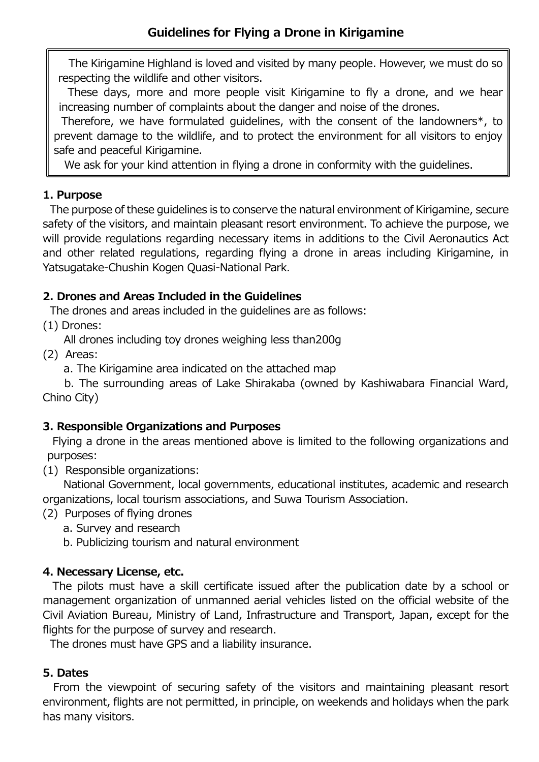The Kirigamine Highland is loved and visited by many people. However, we must do so respecting the wildlife and other visitors.

These days, more and more people visit Kirigamine to fly a drone, and we hear increasing number of complaints about the danger and noise of the drones.

Therefore, we have formulated guidelines, with the consent of the landowners\*, to prevent damage to the wildlife, and to protect the environment for all visitors to enjoy safe and peaceful Kirigamine.

We ask for your kind attention in flying a drone in conformity with the guidelines.

### **1. Purpose**

The purpose of these guidelines is to conserve the natural environment of Kirigamine, secure safety of the visitors, and maintain pleasant resort environment. To achieve the purpose, we will provide regulations regarding necessary items in additions to the Civil Aeronautics Act and other related regulations, regarding flying a drone in areas including Kirigamine, in Yatsugatake-Chushin Kogen Quasi-National Park.

# **2. Drones and Areas Included in the Guidelines**

The drones and areas included in the guidelines are as follows:

(1) Drones:

All drones including toy drones weighing less than200g

(2) Areas:

a. The Kirigamine area indicated on the attached map

 b. The surrounding areas of Lake Shirakaba (owned by Kashiwabara Financial Ward, Chino City)

## **3. Responsible Organizations and Purposes**

Flying a drone in the areas mentioned above is limited to the following organizations and purposes:

(1) Responsible organizations:

National Government, local governments, educational institutes, academic and research organizations, local tourism associations, and Suwa Tourism Association.

(2) Purposes of flying drones

- a. Survey and research
- b. Publicizing tourism and natural environment

## **4. Necessary License, etc.**

The pilots must have a skill certificate issued after the publication date by a school or management organization of unmanned aerial vehicles listed on the official website of the Civil Aviation Bureau, Ministry of Land, Infrastructure and Transport, Japan, except for the flights for the purpose of survey and research.

The drones must have GPS and a liability insurance.

## **5. Dates**

From the viewpoint of securing safety of the visitors and maintaining pleasant resort environment, flights are not permitted, in principle, on weekends and holidays when the park has many visitors.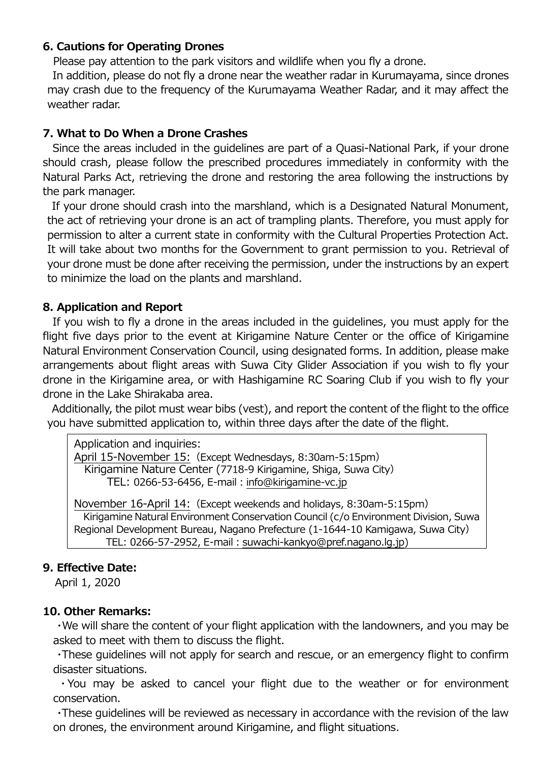### **6. Cautions for Operating Drones**

Please pay attention to the park visitors and wildlife when you fly a drone.

In addition, please do not fly a drone near the weather radar in Kurumayama, since drones may crash due to the frequency of the Kurumayama Weather Radar, and it may affect the weather radar.

### **7. What to Do When a Drone Crashes**

Since the areas included in the guidelines are part of a Quasi-National Park, if your drone should crash, please follow the prescribed procedures immediately in conformity with the Natural Parks Act, retrieving the drone and restoring the area following the instructions by the park manager.

If your drone should crash into the marshland, which is a Designated Natural Monument, the act of retrieving your drone is an act of trampling plants. Therefore, you must apply for permission to alter a current state in conformity with the Cultural Properties Protection Act. It will take about two months for the Government to grant permission to you. Retrieval of your drone must be done after receiving the permission, under the instructions by an expert to minimize the load on the plants and marshland.

### **8. Application and Report**

If you wish to fly a drone in the areas included in the guidelines, you must apply for the flight five days prior to the event at Kirigamine Nature Center or the office of Kirigamine Natural Environment Conservation Council, using designated forms. In addition, please make arrangements about flight areas with Suwa City Glider Association if you wish to fly your drone in the Kirigamine area, or with Hashigamine RC Soaring Club if you wish to fly your drone in the Lake Shirakaba area.

Additionally, the pilot must wear bibs (vest), and report the content of the flight to the office you have submitted application to, within three days after the date of the flight.

```
Application and inquiries:
```
April 15-November 15:(Except Wednesdays, 8:30am-5:15pm) Kirigamine Nature Center (7718-9 Kirigamine, Shiga, Suwa City) TEL: 0266-53-6456, E-mail: info@kirigamine-vc.jp

November 16-April 14:(Except weekends and holidays, 8:30am-5:15pm) Kirigamine Natural Environment Conservation Council (c/o Environment Division, Suwa Regional Development Bureau, Nagano Prefecture (1-1644-10 Kamigawa, Suwa City) TEL: 0266-57-2952, E-mail: [suwachi-kankyo@pref.nagano.lg.jp\)](mailto:suwachi-kankyo@pref.nagano.lg.jp)

### **9. Effective Date:**

April 1, 2020

#### **10. Other Remarks:**

・We will share the content of your flight application with the landowners, and you may be asked to meet with them to discuss the flight.

 ・These guidelines will not apply for search and rescue, or an emergency flight to confirm disaster situations.

 ・You may be asked to cancel your flight due to the weather or for environment conservation.

 ・These guidelines will be reviewed as necessary in accordance with the revision of the law on drones, the environment around Kirigamine, and flight situations.